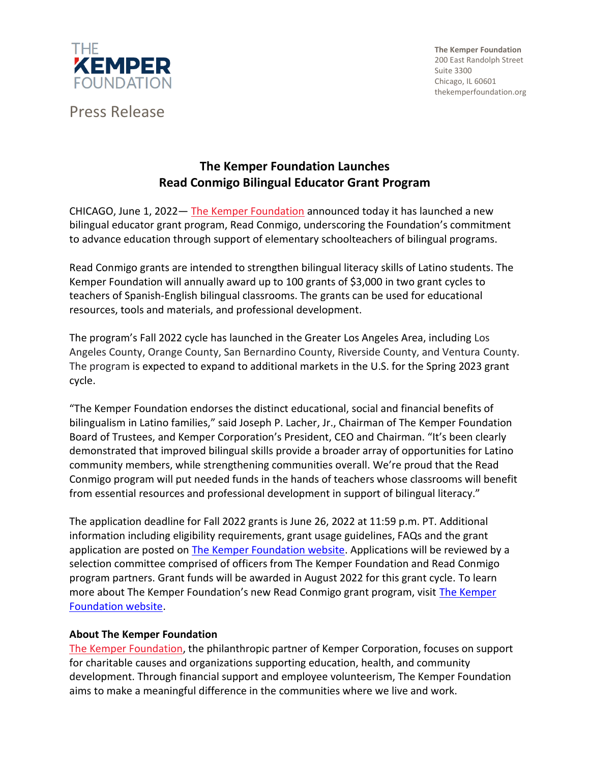

Press Release

**The Kemper Foundation** 200 East Randolph Street Suite 3300 Chicago, IL 60601 thekemperfoundation.org

## **The Kemper Foundation Launches Read Conmigo Bilingual Educator Grant Program**

CHICAGO, June 1, 2022— [The Kemper Foundation](http://www.thekemperfoundation.org/) announced today it has launched a new bilingual educator grant program, Read Conmigo, underscoring the Foundation's commitment to advance education through support of elementary schoolteachers of bilingual programs.

Read Conmigo grants are intended to strengthen bilingual literacy skills of Latino students. The Kemper Foundation will annually award up to 100 grants of \$3,000 in two grant cycles to teachers of Spanish-English bilingual classrooms. The grants can be used for educational resources, tools and materials, and professional development.

The program's Fall 2022 cycle has launched in the Greater Los Angeles Area, including Los Angeles County, Orange County, San Bernardino County, Riverside County, and Ventura County. The program is expected to expand to additional markets in the U.S. for the Spring 2023 grant cycle.

"The Kemper Foundation endorses the distinct educational, social and financial benefits of bilingualism in Latino families," said Joseph P. Lacher, Jr., Chairman of The Kemper Foundation Board of Trustees, and Kemper Corporation's President, CEO and Chairman. "It's been clearly demonstrated that improved bilingual skills provide a broader array of opportunities for Latino community members, while strengthening communities overall. We're proud that the Read Conmigo program will put needed funds in the hands of teachers whose classrooms will benefit from essential resources and professional development in support of bilingual literacy."

The application deadline for Fall 2022 grants is June 26, 2022 at 11:59 p.m. PT. Additional information including eligibility requirements, grant usage guidelines, FAQs and the grant application are posted on [The Kemper Foundation website.](http://www.thekemperfoundation.org/read-conmigo) Applications will be reviewed by a selection committee comprised of officers from The Kemper Foundation and Read Conmigo program partners. Grant funds will be awarded in August 2022 for this grant cycle. To learn more about [The Kemper](http://www.thekemperfoundation.org/read-conmigo) Foundation's new Read Conmigo grant program, visit *The Kemper* [Foundation website.](http://www.thekemperfoundation.org/read-conmigo)

## **About The Kemper Foundation**

[The Kemper Foundation,](http://www.thekemperfoundation.org/) the philanthropic partner of Kemper Corporation, focuses on support for charitable causes and organizations supporting education, health, and community development. Through financial support and employee volunteerism, The Kemper Foundation aims to make a meaningful difference in the communities where we live and work.